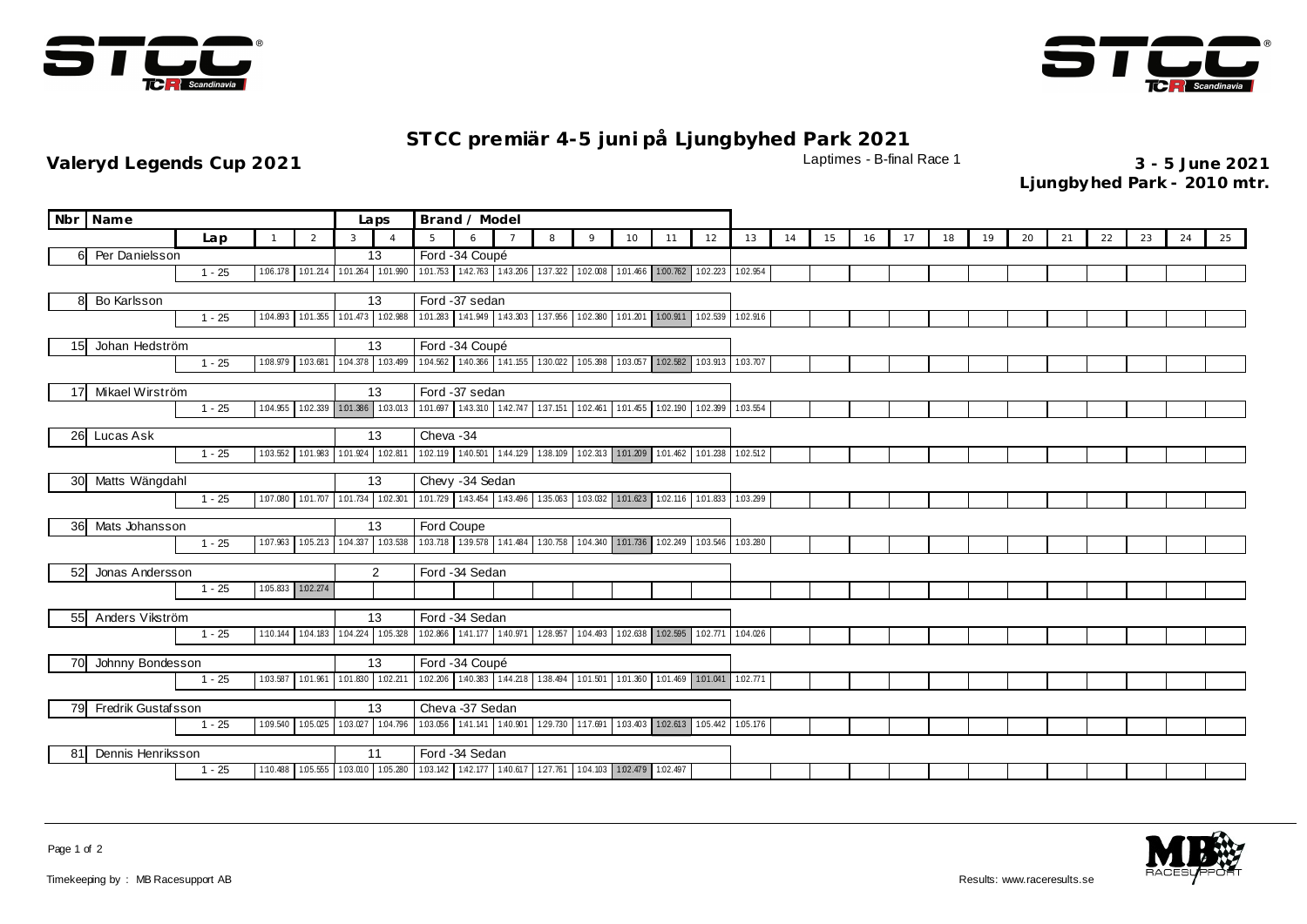



## **ST CC premiär 4-5 juni på Ljungbyhed Park 2021**

**Valeryd Legends Cup 2021** Laptimes - B-final Race 1 **3 - 5 June 2021**

**Ljungbyhed Park - 2010 mtr.**

| Nbr Name                 |                | Laps     | Brand / Model |    |                                                                                 |                   |                                                                                 |  |          |         |    |                                                              |                   |          |    |    |    |    |    |    |    |    |    |    |    |    |
|--------------------------|----------------|----------|---------------|----|---------------------------------------------------------------------------------|-------------------|---------------------------------------------------------------------------------|--|----------|---------|----|--------------------------------------------------------------|-------------------|----------|----|----|----|----|----|----|----|----|----|----|----|----|
|                          | Lap            |          | 2             | 3  | $\overline{A}$                                                                  | $5^{\circ}$       | 6                                                                               |  | 8        | $\circ$ | 10 | 11                                                           | 12                | 13       | 14 | 15 | 16 | 17 | 18 | 19 | 20 | 21 | 22 | 23 | 24 | 25 |
| Per Danielsson<br>6      |                |          | 13            |    | Ford -34 Coupé                                                                  |                   |                                                                                 |  |          |         |    |                                                              |                   |          |    |    |    |    |    |    |    |    |    |    |    |    |
|                          | $1 - 25$       | 1:06.178 |               |    | 1.01.214 1.01.264 1.01.990                                                      |                   | 101.753 142.763 143.206 137.322 102.008 101.466 100.762 102.223 102.954         |  |          |         |    |                                                              |                   |          |    |    |    |    |    |    |    |    |    |    |    |    |
| Bo Karlsson<br>8         |                |          |               |    | 13                                                                              | Ford -37 sedan    |                                                                                 |  |          |         |    |                                                              |                   |          |    |    |    |    |    |    |    |    |    |    |    |    |
| $1 - 25$<br>1:04.893     |                |          |               |    | 1.01.355 1.01.473 1.02.988                                                      |                   | 101.283 1:41.949 1:43.303 1:37.956 1:02.380 1:01.201 1:00.911 1:02.539 1:02.916 |  |          |         |    |                                                              |                   |          |    |    |    |    |    |    |    |    |    |    |    |    |
| Johan Hedström<br>15     |                |          |               | 13 | Ford -34 Coupé                                                                  |                   |                                                                                 |  |          |         |    |                                                              |                   |          |    |    |    |    |    |    |    |    |    |    |    |    |
| 1:08.979<br>$1 - 25$     |                |          |               |    | 1.03.681 1.04.378 1.03.499                                                      |                   | 104.562 1:40.366 1:41.155 1:30.022 1:05.398 1:03.057 1:02.582 1:03.913 1:03.707 |  |          |         |    |                                                              |                   |          |    |    |    |    |    |    |    |    |    |    |    |    |
| Mikael Wirström<br>17    |                |          |               |    | 13                                                                              |                   | Ford -37 sedan                                                                  |  |          |         |    |                                                              |                   |          |    |    |    |    |    |    |    |    |    |    |    |    |
|                          | $1 - 25$       | 1:04.955 |               |    | 1.02.339 1.01.386 1.03.013                                                      |                   | 101.697 1.43.310 1.42.747 1.37.151 1.02.461 1.01.455 1.02.190 1.02.399 1.03.554 |  |          |         |    |                                                              |                   |          |    |    |    |    |    |    |    |    |    |    |    |    |
| 26<br>Lucas Ask          |                |          |               |    | 13                                                                              | Cheva - 34        |                                                                                 |  |          |         |    |                                                              |                   |          |    |    |    |    |    |    |    |    |    |    |    |    |
|                          | $1 - 25$       | 1:03.552 |               |    | 101.983 101.924 102.811                                                         | 1.02.119 1.40.501 |                                                                                 |  |          |         |    | 144.129 138.109 1.02.313 1.01.209 1.01.462 1.01.238 1.02.512 |                   |          |    |    |    |    |    |    |    |    |    |    |    |    |
| 30                       | Matts Wängdahl |          |               |    | 13                                                                              | Chevy -34 Sedan   |                                                                                 |  |          |         |    |                                                              |                   |          |    |    |    |    |    |    |    |    |    |    |    |    |
|                          | $1 - 25$       | 1:07.080 |               |    | 1.01.707 1.01.734 1.02.301                                                      |                   | 1.01.729 1.43.454 1.43.496                                                      |  | 1:35.063 |         |    | 1.03.032 1.01.623 1.02.116 1.01.833                          |                   | 1:03.299 |    |    |    |    |    |    |    |    |    |    |    |    |
| Mats Johansson<br>36     |                |          |               |    | 13                                                                              | Ford Coupe        |                                                                                 |  |          |         |    |                                                              |                   |          |    |    |    |    |    |    |    |    |    |    |    |    |
|                          | $1 - 25$       | 1:07.963 |               |    | 1.05.213 1.04.337 1.03.538                                                      |                   | 103.718 139.578 141.484 130.758 104.340 101.736 102.249                         |  |          |         |    |                                                              | 1.03.546 1.03.280 |          |    |    |    |    |    |    |    |    |    |    |    |    |
| Jonas Andersson<br>52    |                |          |               |    | $\overline{2}$                                                                  | Ford -34 Sedan    |                                                                                 |  |          |         |    |                                                              |                   |          |    |    |    |    |    |    |    |    |    |    |    |    |
|                          | $1 - 25$       | 1.05.833 | 1.02.274      |    |                                                                                 |                   |                                                                                 |  |          |         |    |                                                              |                   |          |    |    |    |    |    |    |    |    |    |    |    |    |
| Anders Vikström<br>55    |                |          |               |    | 13                                                                              | Ford -34 Sedan    |                                                                                 |  |          |         |    |                                                              |                   |          |    |    |    |    |    |    |    |    |    |    |    |    |
|                          | $1 - 25$       | 1:10.144 |               |    | 1.04.183 1.04.224 1.05.328                                                      |                   | 102.866 1:41.177 1:40.971 1:28.957 1:04.493 1:02.638 1:02.595 1:02.771 1:04.026 |  |          |         |    |                                                              |                   |          |    |    |    |    |    |    |    |    |    |    |    |    |
| Johnny Bondesson<br>70   |                |          |               |    | 13                                                                              | Ford -34 Coupé    |                                                                                 |  |          |         |    |                                                              |                   |          |    |    |    |    |    |    |    |    |    |    |    |    |
|                          | $1 - 25$       | 1.03.587 | 1:01.961      |    | 1.01.830 1.02.211                                                               |                   | 1.02.206 1.40.383 1.44.218 1.38.494 1.01.501                                    |  |          |         |    | 1.01.360 1.01.469 1.01.041 1.02.771                          |                   |          |    |    |    |    |    |    |    |    |    |    |    |    |
| Fredrik Gustafsson<br>79 |                |          |               |    | 13                                                                              |                   | Cheva -37 Sedan                                                                 |  |          |         |    |                                                              |                   |          |    |    |    |    |    |    |    |    |    |    |    |    |
| 1:09.540<br>$1 - 25$     |                |          |               |    | 1.05.025  1.03.027  1.04.796                                                    |                   | 103.056 141.141 140.901 129.730 1:17.691 103.403 102.613 105.442 105.176        |  |          |         |    |                                                              |                   |          |    |    |    |    |    |    |    |    |    |    |    |    |
| Dennis Henriksson<br>81  |                |          |               |    | 11                                                                              |                   | Ford -34 Sedan                                                                  |  |          |         |    |                                                              |                   |          |    |    |    |    |    |    |    |    |    |    |    |    |
|                          | $1 - 25$       | 1:10.488 |               |    | 105.555 103.010 105.280 103.142 142.177 140.617 127.761 104.103 102.479 102.497 |                   |                                                                                 |  |          |         |    |                                                              |                   |          |    |    |    |    |    |    |    |    |    |    |    |    |



Page 1 of 2